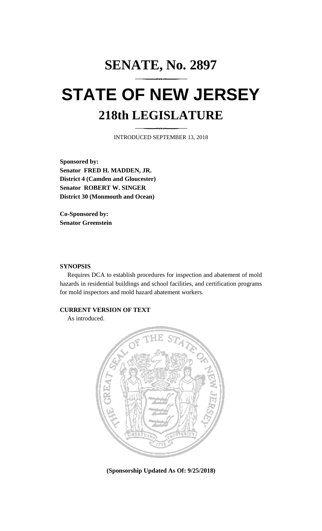# **SENATE, No. 2897 STATE OF NEW JERSEY 218th LEGISLATURE**

INTRODUCED SEPTEMBER 13, 2018

**Sponsored by: Senator FRED H. MADDEN, JR. District 4 (Camden and Gloucester) Senator ROBERT W. SINGER District 30 (Monmouth and Ocean)**

**Co-Sponsored by: Senator Greenstein**

## **SYNOPSIS**

Requires DCA to establish procedures for inspection and abatement of mold hazards in residential buildings and school facilities, and certification programs for mold inspectors and mold hazard abatement workers.

## **CURRENT VERSION OF TEXT**

As introduced.



**(Sponsorship Updated As Of: 9/25/2018)**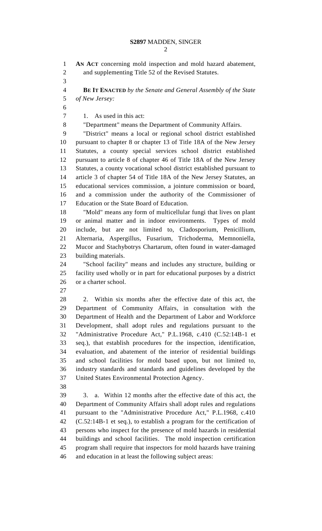**AN ACT** concerning mold inspection and mold hazard abatement, and supplementing Title 52 of the Revised Statutes. **BE IT ENACTED** *by the Senate and General Assembly of the State of New Jersey:* 1. As used in this act: "Department" means the Department of Community Affairs. "District" means a local or regional school district established pursuant to chapter 8 or chapter 13 of Title 18A of the New Jersey Statutes, a county special services school district established pursuant to article 8 of chapter 46 of Title 18A of the New Jersey Statutes, a county vocational school district established pursuant to article 3 of chapter 54 of Title 18A of the New Jersey Statutes, an educational services commission, a jointure commission or board, and a commission under the authority of the Commissioner of Education or the State Board of Education. "Mold" means any form of multicellular fungi that lives on plant or animal matter and in indoor environments. Types of mold include, but are not limited to, Cladosporium, Penicillium, Alternaria, Aspergillus, Fusarium, Trichoderma, Memnoniella, Mucor and Stachybotrys Chartarum, often found in water-damaged building materials. "School facility" means and includes any structure, building or facility used wholly or in part for educational purposes by a district or a charter school. 2. Within six months after the effective date of this act, the Department of Community Affairs, in consultation with the Department of Health and the Department of Labor and Workforce Development, shall adopt rules and regulations pursuant to the "Administrative Procedure Act," P.L.1968, c.410 (C.52:14B-1 et seq.), that establish procedures for the inspection, identification, evaluation, and abatement of the interior of residential buildings and school facilities for mold based upon, but not limited to, industry standards and standards and guidelines developed by the United States Environmental Protection Agency. 3. a. Within 12 months after the effective date of this act, the Department of Community Affairs shall adopt rules and regulations pursuant to the "Administrative Procedure Act," P.L.1968, c.410 (C.52:14B-1 et seq.), to establish a program for the certification of persons who inspect for the presence of mold hazards in residential buildings and school facilities. The mold inspection certification program shall require that inspectors for mold hazards have training and education in at least the following subject areas: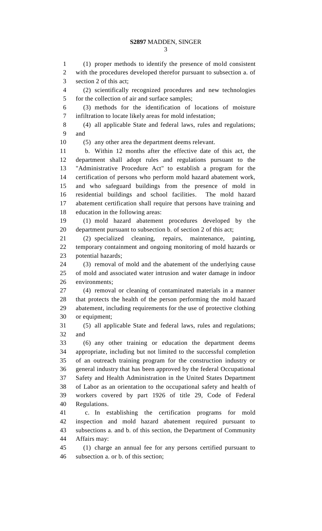(1) proper methods to identify the presence of mold consistent with the procedures developed therefor pursuant to subsection a. of section 2 of this act;

 (2) scientifically recognized procedures and new technologies for the collection of air and surface samples;

 (3) methods for the identification of locations of moisture infiltration to locate likely areas for mold infestation;

 (4) all applicable State and federal laws, rules and regulations; and

(5) any other area the department deems relevant.

 b. Within 12 months after the effective date of this act, the department shall adopt rules and regulations pursuant to the "Administrative Procedure Act" to establish a program for the certification of persons who perform mold hazard abatement work, and who safeguard buildings from the presence of mold in residential buildings and school facilities. The mold hazard abatement certification shall require that persons have training and education in the following areas:

 (1) mold hazard abatement procedures developed by the department pursuant to subsection b. of section 2 of this act;

 (2) specialized cleaning, repairs, maintenance, painting, temporary containment and ongoing monitoring of mold hazards or potential hazards;

 (3) removal of mold and the abatement of the underlying cause of mold and associated water intrusion and water damage in indoor environments;

 (4) removal or cleaning of contaminated materials in a manner that protects the health of the person performing the mold hazard abatement, including requirements for the use of protective clothing or equipment;

 (5) all applicable State and federal laws, rules and regulations; and

 (6) any other training or education the department deems appropriate, including but not limited to the successful completion of an outreach training program for the construction industry or general industry that has been approved by the federal Occupational Safety and Health Administration in the United States Department of Labor as an orientation to the occupational safety and health of workers covered by part 1926 of title 29, Code of Federal Regulations.

 c. In establishing the certification programs for mold inspection and mold hazard abatement required pursuant to subsections a. and b. of this section, the Department of Community Affairs may:

 (1) charge an annual fee for any persons certified pursuant to subsection a. or b. of this section;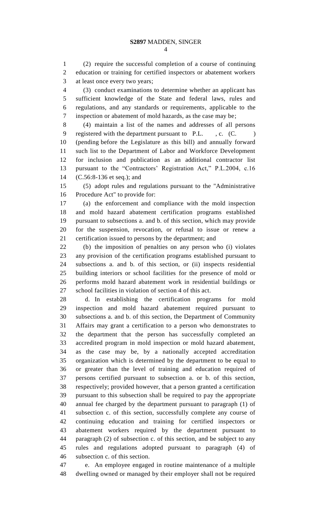(2) require the successful completion of a course of continuing education or training for certified inspectors or abatement workers at least once every two years;

 (3) conduct examinations to determine whether an applicant has sufficient knowledge of the State and federal laws, rules and regulations, and any standards or requirements, applicable to the inspection or abatement of mold hazards, as the case may be;

 (4) maintain a list of the names and addresses of all persons 9 registered with the department pursuant to P.L., c. (C.) (pending before the Legislature as this bill) and annually forward such list to the Department of Labor and Workforce Development for inclusion and publication as an additional contractor list pursuant to the "Contractors' Registration Act," P.L.2004, c.16 (C.56:8-136 et seq.); and

 (5) adopt rules and regulations pursuant to the "Administrative Procedure Act" to provide for:

 (a) the enforcement and compliance with the mold inspection and mold hazard abatement certification programs established pursuant to subsections a. and b. of this section, which may provide for the suspension, revocation, or refusal to issue or renew a certification issued to persons by the department; and

 (b) the imposition of penalties on any person who (i) violates any provision of the certification programs established pursuant to subsections a. and b. of this section, or (ii) inspects residential building interiors or school facilities for the presence of mold or performs mold hazard abatement work in residential buildings or school facilities in violation of section 4 of this act.

 d. In establishing the certification programs for mold inspection and mold hazard abatement required pursuant to subsections a. and b. of this section, the Department of Community Affairs may grant a certification to a person who demonstrates to the department that the person has successfully completed an accredited program in mold inspection or mold hazard abatement, as the case may be, by a nationally accepted accreditation organization which is determined by the department to be equal to or greater than the level of training and education required of persons certified pursuant to subsection a. or b. of this section, respectively; provided however, that a person granted a certification pursuant to this subsection shall be required to pay the appropriate annual fee charged by the department pursuant to paragraph (1) of subsection c. of this section, successfully complete any course of continuing education and training for certified inspectors or abatement workers required by the department pursuant to paragraph (2) of subsection c. of this section, and be subject to any rules and regulations adopted pursuant to paragraph (4) of subsection c. of this section.

 e. An employee engaged in routine maintenance of a multiple dwelling owned or managed by their employer shall not be required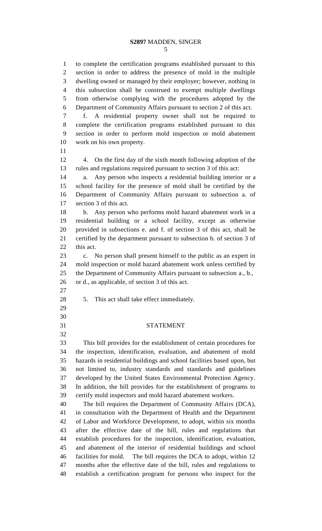### **S2897** MADDEN, SINGER

 to complete the certification programs established pursuant to this section in order to address the presence of mold in the multiple dwelling owned or managed by their employer; however, nothing in this subsection shall be construed to exempt multiple dwellings from otherwise complying with the procedures adopted by the Department of Community Affairs pursuant to section 2 of this act. f. A residential property owner shall not be required to complete the certification programs established pursuant to this section in order to perform mold inspection or mold abatement work on his own property. 4. On the first day of the sixth month following adoption of the rules and regulations required pursuant to section 3 of this act: a. Any person who inspects a residential building interior or a school facility for the presence of mold shall be certified by the Department of Community Affairs pursuant to subsection a. of section 3 of this act. b. Any person who performs mold hazard abatement work in a residential building or a school facility, except as otherwise provided in subsections e. and f. of section 3 of this act, shall be certified by the department pursuant to subsection b. of section 3 of this act. c. No person shall present himself to the public as an expert in mold inspection or mold hazard abatement work unless certified by the Department of Community Affairs pursuant to subsection a., b., or d., as applicable, of section 3 of this act. 5. This act shall take effect immediately. STATEMENT This bill provides for the establishment of certain procedures for the inspection, identification, evaluation, and abatement of mold hazards in residential buildings and school facilities based upon, but not limited to, industry standards and standards and guidelines developed by the United States Environmental Protection Agency. In addition, the bill provides for the establishment of programs to certify mold inspectors and mold hazard abatement workers. The bill requires the Department of Community Affairs (DCA), in consultation with the Department of Health and the Department of Labor and Workforce Development, to adopt, within six months after the effective date of the bill, rules and regulations that establish procedures for the inspection, identification, evaluation, and abatement of the interior of residential buildings and school facilities for mold. The bill requires the DCA to adopt, within 12 months after the effective date of the bill, rules and regulations to establish a certification program for persons who inspect for the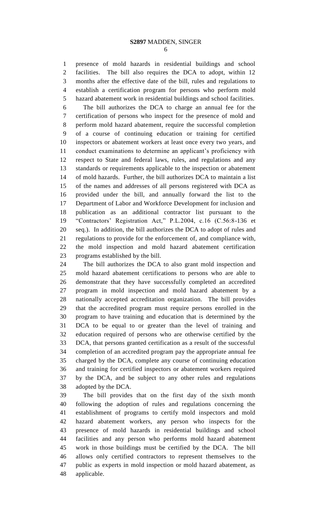presence of mold hazards in residential buildings and school facilities. The bill also requires the DCA to adopt, within 12 months after the effective date of the bill, rules and regulations to establish a certification program for persons who perform mold hazard abatement work in residential buildings and school facilities.

 The bill authorizes the DCA to charge an annual fee for the certification of persons who inspect for the presence of mold and perform mold hazard abatement, require the successful completion of a course of continuing education or training for certified inspectors or abatement workers at least once every two years, and conduct examinations to determine an applicant's proficiency with respect to State and federal laws, rules, and regulations and any standards or requirements applicable to the inspection or abatement of mold hazards. Further, the bill authorizes DCA to maintain a list of the names and addresses of all persons registered with DCA as provided under the bill, and annually forward the list to the Department of Labor and Workforce Development for inclusion and publication as an additional contractor list pursuant to the "Contractors' Registration Act," P.L.2004, c.16 (C.56:8-136 et seq.). In addition, the bill authorizes the DCA to adopt of rules and regulations to provide for the enforcement of, and compliance with, the mold inspection and mold hazard abatement certification programs established by the bill.

 The bill authorizes the DCA to also grant mold inspection and mold hazard abatement certifications to persons who are able to demonstrate that they have successfully completed an accredited program in mold inspection and mold hazard abatement by a nationally accepted accreditation organization. The bill provides that the accredited program must require persons enrolled in the program to have training and education that is determined by the DCA to be equal to or greater than the level of training and education required of persons who are otherwise certified by the DCA, that persons granted certification as a result of the successful completion of an accredited program pay the appropriate annual fee charged by the DCA, complete any course of continuing education and training for certified inspectors or abatement workers required by the DCA, and be subject to any other rules and regulations adopted by the DCA.

 The bill provides that on the first day of the sixth month following the adoption of rules and regulations concerning the establishment of programs to certify mold inspectors and mold hazard abatement workers, any person who inspects for the presence of mold hazards in residential buildings and school facilities and any person who performs mold hazard abatement work in those buildings must be certified by the DCA. The bill allows only certified contractors to represent themselves to the public as experts in mold inspection or mold hazard abatement, as applicable.